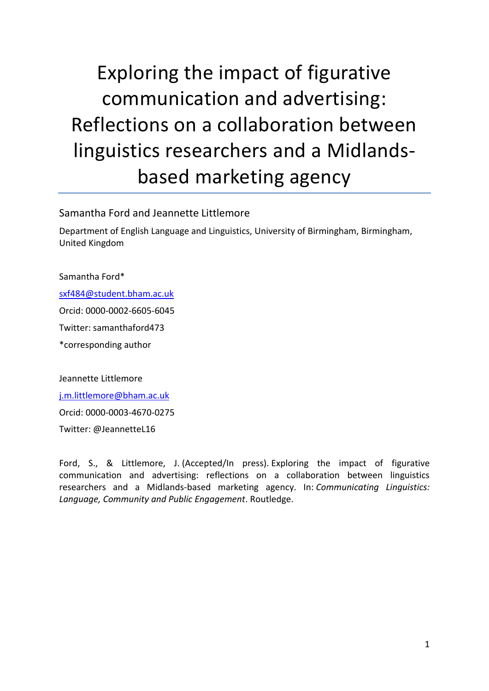# Exploring the impact of figurative communication and advertising: Reflections on a collaboration between linguistics researchers and a Midlandsbased marketing agency

#### Samantha Ford and Jeannette Littlemore

Department of English Language and Linguistics, University of Birmingham, Birmingham, United Kingdom

Samantha Ford\*

[sxf484@student.bham.ac.uk](mailto:sxf484@student.bham.ac.uk)

Orcid: 0000-0002-6605-6045

Twitter: samanthaford473

\*corresponding author

Jeannette Littlemore

[j.m.littlemore@bham.ac.uk](mailto:j.m.littlemore@bham.ac.uk)

Orcid: 0000-0003-4670-0275

Twitter: @JeannetteL16

Ford, S., & Littlemore, J. (Accepted/In press). Exploring the impact of figurative communication and advertising: reflections on a collaboration between linguistics researchers and a Midlands-based marketing agency. In: *Communicating Linguistics: Language, Community and Public Engagement*. Routledge.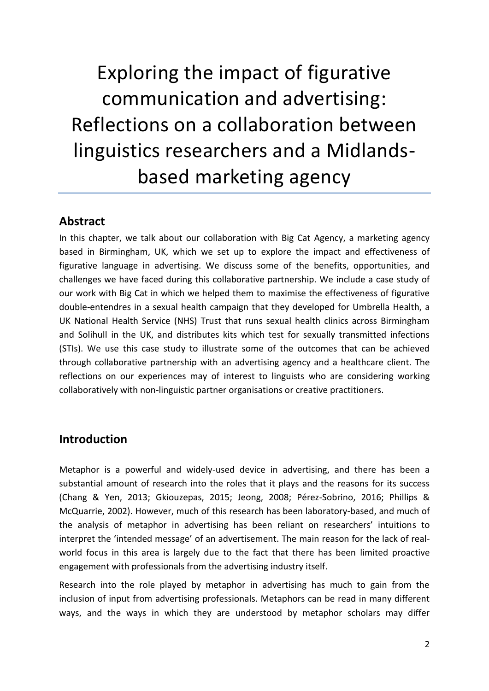# Exploring the impact of figurative communication and advertising: Reflections on a collaboration between linguistics researchers and a Midlandsbased marketing agency

## **Abstract**

In this chapter, we talk about our collaboration with Big Cat Agency, a marketing agency based in Birmingham, UK, which we set up to explore the impact and effectiveness of figurative language in advertising. We discuss some of the benefits, opportunities, and challenges we have faced during this collaborative partnership. We include a case study of our work with Big Cat in which we helped them to maximise the effectiveness of figurative double-entendres in a sexual health campaign that they developed for Umbrella Health, a UK National Health Service (NHS) Trust that runs sexual health clinics across Birmingham and Solihull in the UK, and distributes kits which test for sexually transmitted infections (STIs). We use this case study to illustrate some of the outcomes that can be achieved through collaborative partnership with an advertising agency and a healthcare client. The reflections on our experiences may of interest to linguists who are considering working collaboratively with non-linguistic partner organisations or creative practitioners.

## **Introduction**

Metaphor is a powerful and widely-used device in advertising, and there has been a substantial amount of research into the roles that it plays and the reasons for its success (Chang & Yen, 2013; Gkiouzepas, 2015; Jeong, 2008; Pérez-Sobrino, 2016; Phillips & McQuarrie, 2002). However, much of this research has been laboratory-based, and much of the analysis of metaphor in advertising has been reliant on researchers' intuitions to interpret the 'intended message' of an advertisement. The main reason for the lack of realworld focus in this area is largely due to the fact that there has been limited proactive engagement with professionals from the advertising industry itself.

Research into the role played by metaphor in advertising has much to gain from the inclusion of input from advertising professionals. Metaphors can be read in many different ways, and the ways in which they are understood by metaphor scholars may differ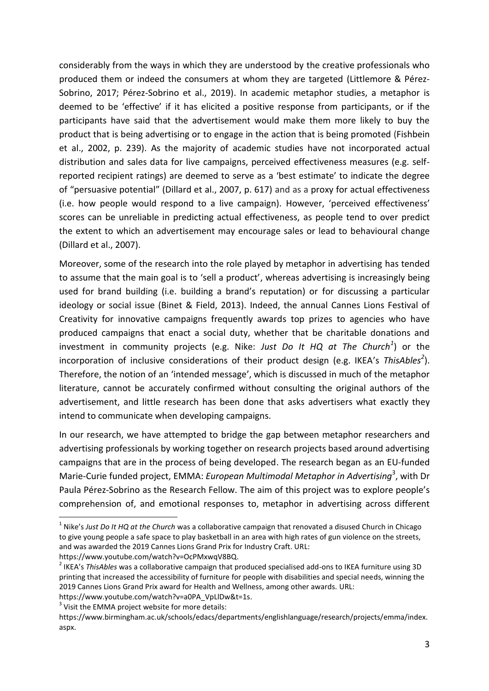considerably from the ways in which they are understood by the creative professionals who produced them or indeed the consumers at whom they are targeted (Littlemore & Pérez-Sobrino, 2017; Pérez-Sobrino et al., 2019). In academic metaphor studies, a metaphor is deemed to be 'effective' if it has elicited a positive response from participants, or if the participants have said that the advertisement would make them more likely to buy the product that is being advertising or to engage in the action that is being promoted (Fishbein et al., 2002, p. 239). As the majority of academic studies have not incorporated actual distribution and sales data for live campaigns, perceived effectiveness measures (e.g. selfreported recipient ratings) are deemed to serve as a 'best estimate' to indicate the degree of "persuasive potential" (Dillard et al., 2007, p. 617) and as a proxy for actual effectiveness (i.e. how people would respond to a live campaign). However, 'perceived effectiveness' scores can be unreliable in predicting actual effectiveness, as people tend to over predict the extent to which an advertisement may encourage sales or lead to behavioural change (Dillard et al., 2007).

Moreover, some of the research into the role played by metaphor in advertising has tended to assume that the main goal is to 'sell a product', whereas advertising is increasingly being used for brand building (i.e. building a brand's reputation) or for discussing a particular ideology or social issue (Binet & Field, 2013). Indeed, the annual Cannes Lions Festival of Creativity for innovative campaigns frequently awards top prizes to agencies who have produced campaigns that enact a social duty, whether that be charitable donations and investment in community projects (e.g. Nike: *Just Do It HQ at The Church<sup>1</sup>* ) or the incorporation of inclusive considerations of their product design (e.g. IKEA's *ThisAbles<sup>2</sup>* ). Therefore, the notion of an 'intended message', which is discussed in much of the metaphor literature, cannot be accurately confirmed without consulting the original authors of the advertisement, and little research has been done that asks advertisers what exactly they intend to communicate when developing campaigns.

In our research, we have attempted to bridge the gap between metaphor researchers and advertising professionals by working together on research projects based around advertising campaigns that are in the process of being developed. The research began as an EU-funded Marie-Curie funded project, EMMA: *European Multimodal Metaphor in Advertising*<sup>3</sup>, with Dr Paula Pérez-Sobrino as the Research Fellow. The aim of this project was to explore people's comprehension of, and emotional responses to, metaphor in advertising across different

https://www.youtube.com/watch?v=a0PA\_VpLlDw&t=1s.

<u>.</u>

<sup>&</sup>lt;sup>1</sup> Nike's Just Do It HQ at the Church was a collaborative campaign that renovated a disused Church in Chicago to give young people a safe space to play basketball in an area with high rates of gun violence on the streets, and was awarded the 2019 Cannes Lions Grand Prix for Industry Craft. URL: https://www.youtube.com/watch?v=OcPMxwqV8BQ.

<sup>2</sup> IKEA's *ThisAbles* was a collaborative campaign that produced specialised add-ons to IKEA furniture using 3D printing that increased the accessibility of furniture for people with disabilities and special needs, winning the 2019 Cannes Lions Grand Prix award for Health and Wellness, among other awards. URL:

 $3$  Visit the EMMA project website for more details:

https://www.birmingham.ac.uk/schools/edacs/departments/englishlanguage/research/projects/emma/index. aspx.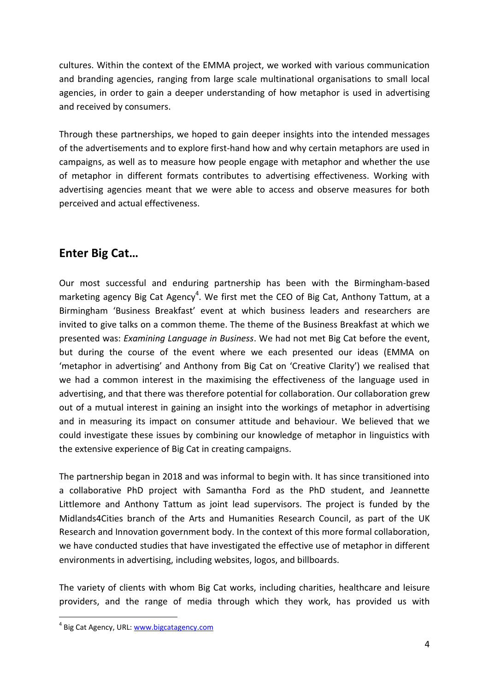cultures. Within the context of the EMMA project, we worked with various communication and branding agencies, ranging from large scale multinational organisations to small local agencies, in order to gain a deeper understanding of how metaphor is used in advertising and received by consumers.

Through these partnerships, we hoped to gain deeper insights into the intended messages of the advertisements and to explore first-hand how and why certain metaphors are used in campaigns, as well as to measure how people engage with metaphor and whether the use of metaphor in different formats contributes to advertising effectiveness. Working with advertising agencies meant that we were able to access and observe measures for both perceived and actual effectiveness.

# **Enter Big Cat…**

Our most successful and enduring partnership has been with the Birmingham-based marketing agency Big Cat Agency<sup>4</sup>. We first met the CEO of Big Cat, Anthony Tattum, at a Birmingham 'Business Breakfast' event at which business leaders and researchers are invited to give talks on a common theme. The theme of the Business Breakfast at which we presented was: *Examining Language in Business*. We had not met Big Cat before the event, but during the course of the event where we each presented our ideas (EMMA on 'metaphor in advertising' and Anthony from Big Cat on 'Creative Clarity') we realised that we had a common interest in the maximising the effectiveness of the language used in advertising, and that there was therefore potential for collaboration. Our collaboration grew out of a mutual interest in gaining an insight into the workings of metaphor in advertising and in measuring its impact on consumer attitude and behaviour. We believed that we could investigate these issues by combining our knowledge of metaphor in linguistics with the extensive experience of Big Cat in creating campaigns.

The partnership began in 2018 and was informal to begin with. It has since transitioned into a collaborative PhD project with Samantha Ford as the PhD student, and Jeannette Littlemore and Anthony Tattum as joint lead supervisors. The project is funded by the Midlands4Cities branch of the Arts and Humanities Research Council, as part of the UK Research and Innovation government body. In the context of this more formal collaboration, we have conducted studies that have investigated the effective use of metaphor in different environments in advertising, including websites, logos, and billboards.

The variety of clients with whom Big Cat works, including charities, healthcare and leisure providers, and the range of media through which they work, has provided us with

1

<sup>&</sup>lt;sup>4</sup> Big Cat Agency, URL: **www.bigcatagency.com**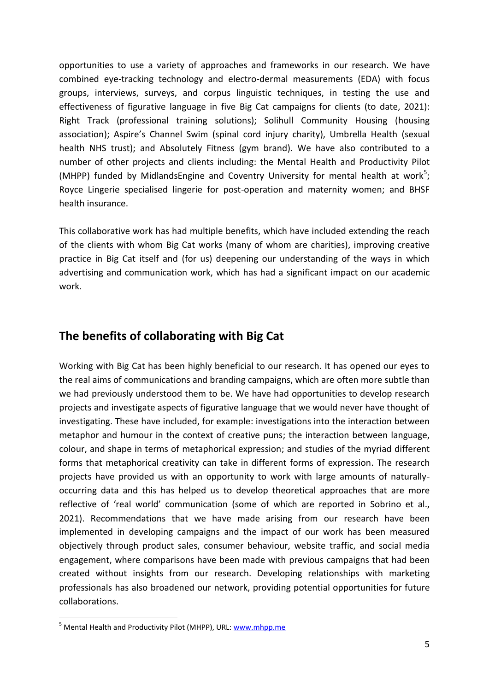opportunities to use a variety of approaches and frameworks in our research. We have combined eye-tracking technology and electro-dermal measurements (EDA) with focus groups, interviews, surveys, and corpus linguistic techniques, in testing the use and effectiveness of figurative language in five Big Cat campaigns for clients (to date, 2021): Right Track (professional training solutions); Solihull Community Housing (housing association); Aspire's Channel Swim (spinal cord injury charity), Umbrella Health (sexual health NHS trust); and Absolutely Fitness (gym brand). We have also contributed to a number of other projects and clients including: the Mental Health and Productivity Pilot (MHPP) funded by MidlandsEngine and Coventry University for mental health at work<sup>5</sup>; Royce Lingerie specialised lingerie for post-operation and maternity women; and BHSF health insurance.

This collaborative work has had multiple benefits, which have included extending the reach of the clients with whom Big Cat works (many of whom are charities), improving creative practice in Big Cat itself and (for us) deepening our understanding of the ways in which advertising and communication work, which has had a significant impact on our academic work.

# **The benefits of collaborating with Big Cat**

Working with Big Cat has been highly beneficial to our research. It has opened our eyes to the real aims of communications and branding campaigns, which are often more subtle than we had previously understood them to be. We have had opportunities to develop research projects and investigate aspects of figurative language that we would never have thought of investigating. These have included, for example: investigations into the interaction between metaphor and humour in the context of creative puns; the interaction between language, colour, and shape in terms of metaphorical expression; and studies of the myriad different forms that metaphorical creativity can take in different forms of expression. The research projects have provided us with an opportunity to work with large amounts of naturallyoccurring data and this has helped us to develop theoretical approaches that are more reflective of 'real world' communication (some of which are reported in Sobrino et al., 2021). Recommendations that we have made arising from our research have been implemented in developing campaigns and the impact of our work has been measured objectively through product sales, consumer behaviour, website traffic, and social media engagement, where comparisons have been made with previous campaigns that had been created without insights from our research. Developing relationships with marketing professionals has also broadened our network, providing potential opportunities for future collaborations.

1

<sup>&</sup>lt;sup>5</sup> Mental Health and Productivity Pilot (MHPP), URL: [www.mhpp.me](http://www.mhpp.me/)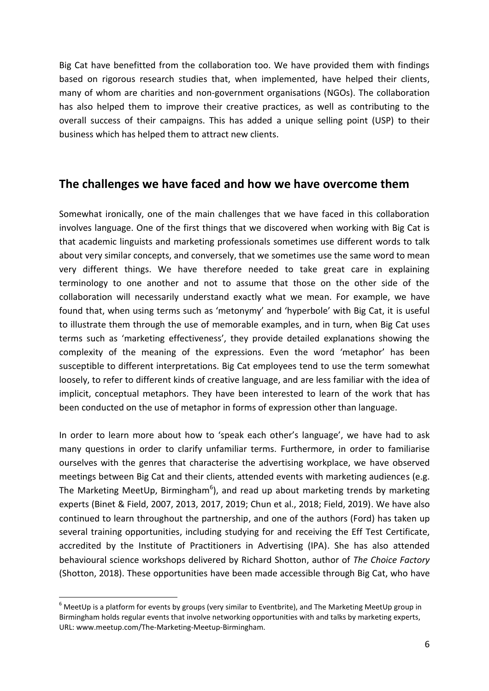Big Cat have benefitted from the collaboration too. We have provided them with findings based on rigorous research studies that, when implemented, have helped their clients, many of whom are charities and non-government organisations (NGOs). The collaboration has also helped them to improve their creative practices, as well as contributing to the overall success of their campaigns. This has added a unique selling point (USP) to their business which has helped them to attract new clients.

## **The challenges we have faced and how we have overcome them**

Somewhat ironically, one of the main challenges that we have faced in this collaboration involves language. One of the first things that we discovered when working with Big Cat is that academic linguists and marketing professionals sometimes use different words to talk about very similar concepts, and conversely, that we sometimes use the same word to mean very different things. We have therefore needed to take great care in explaining terminology to one another and not to assume that those on the other side of the collaboration will necessarily understand exactly what we mean. For example, we have found that, when using terms such as 'metonymy' and 'hyperbole' with Big Cat, it is useful to illustrate them through the use of memorable examples, and in turn, when Big Cat uses terms such as 'marketing effectiveness', they provide detailed explanations showing the complexity of the meaning of the expressions. Even the word 'metaphor' has been susceptible to different interpretations. Big Cat employees tend to use the term somewhat loosely, to refer to different kinds of creative language, and are less familiar with the idea of implicit, conceptual metaphors. They have been interested to learn of the work that has been conducted on the use of metaphor in forms of expression other than language.

In order to learn more about how to 'speak each other's language', we have had to ask many questions in order to clarify unfamiliar terms. Furthermore, in order to familiarise ourselves with the genres that characterise the advertising workplace, we have observed meetings between Big Cat and their clients, attended events with marketing audiences (e.g. The Marketing MeetUp, Birmingham<sup>6</sup>), and read up about marketing trends by marketing experts (Binet & Field, 2007, 2013, 2017, 2019; Chun et al., 2018; Field, 2019). We have also continued to learn throughout the partnership, and one of the authors (Ford) has taken up several training opportunities, including studying for and receiving the Eff Test Certificate, accredited by the Institute of Practitioners in Advertising (IPA). She has also attended behavioural science workshops delivered by Richard Shotton, author of *The Choice Factory* (Shotton, 2018). These opportunities have been made accessible through Big Cat, who have

1

 $6$  MeetUp is a platform for events by groups (very similar to Eventbrite), and The Marketing MeetUp group in Birmingham holds regular events that involve networking opportunities with and talks by marketing experts, URL: www.meetup.com/The-Marketing-Meetup-Birmingham.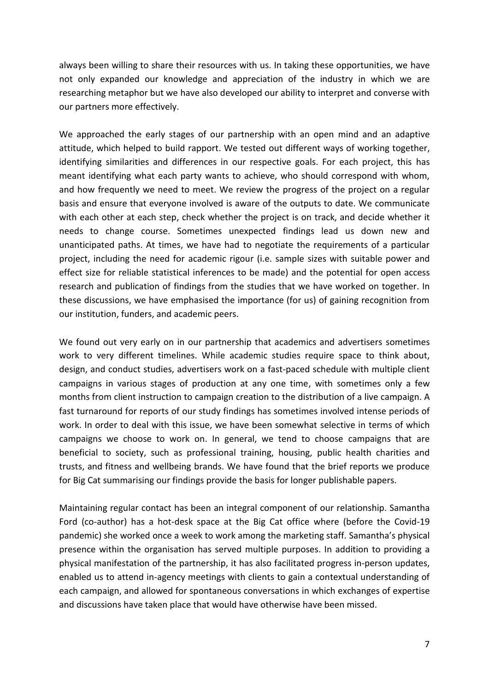always been willing to share their resources with us. In taking these opportunities, we have not only expanded our knowledge and appreciation of the industry in which we are researching metaphor but we have also developed our ability to interpret and converse with our partners more effectively.

We approached the early stages of our partnership with an open mind and an adaptive attitude, which helped to build rapport. We tested out different ways of working together, identifying similarities and differences in our respective goals. For each project, this has meant identifying what each party wants to achieve, who should correspond with whom, and how frequently we need to meet. We review the progress of the project on a regular basis and ensure that everyone involved is aware of the outputs to date. We communicate with each other at each step, check whether the project is on track, and decide whether it needs to change course. Sometimes unexpected findings lead us down new and unanticipated paths. At times, we have had to negotiate the requirements of a particular project, including the need for academic rigour (i.e. sample sizes with suitable power and effect size for reliable statistical inferences to be made) and the potential for open access research and publication of findings from the studies that we have worked on together. In these discussions, we have emphasised the importance (for us) of gaining recognition from our institution, funders, and academic peers.

We found out very early on in our partnership that academics and advertisers sometimes work to very different timelines. While academic studies require space to think about, design, and conduct studies, advertisers work on a fast-paced schedule with multiple client campaigns in various stages of production at any one time, with sometimes only a few months from client instruction to campaign creation to the distribution of a live campaign. A fast turnaround for reports of our study findings has sometimes involved intense periods of work. In order to deal with this issue, we have been somewhat selective in terms of which campaigns we choose to work on. In general, we tend to choose campaigns that are beneficial to society, such as professional training, housing, public health charities and trusts, and fitness and wellbeing brands. We have found that the brief reports we produce for Big Cat summarising our findings provide the basis for longer publishable papers.

Maintaining regular contact has been an integral component of our relationship. Samantha Ford (co-author) has a hot-desk space at the Big Cat office where (before the Covid-19 pandemic) she worked once a week to work among the marketing staff. Samantha's physical presence within the organisation has served multiple purposes. In addition to providing a physical manifestation of the partnership, it has also facilitated progress in-person updates, enabled us to attend in-agency meetings with clients to gain a contextual understanding of each campaign, and allowed for spontaneous conversations in which exchanges of expertise and discussions have taken place that would have otherwise have been missed.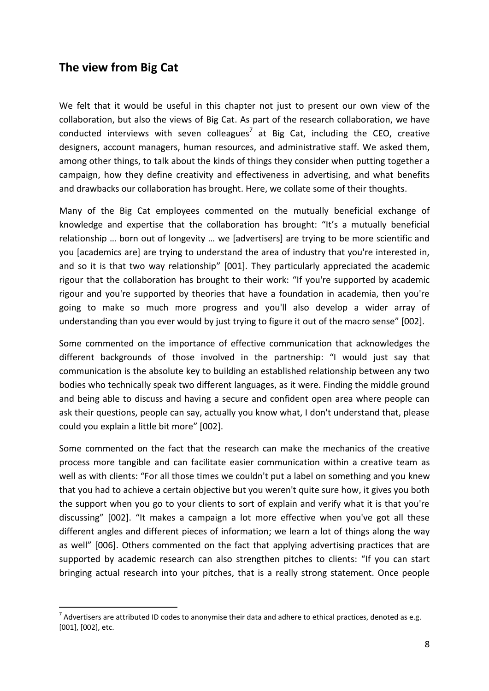# **The view from Big Cat**

<u>.</u>

We felt that it would be useful in this chapter not just to present our own view of the collaboration, but also the views of Big Cat. As part of the research collaboration, we have conducted interviews with seven colleagues<sup>7</sup> at Big Cat, including the CEO, creative designers, account managers, human resources, and administrative staff. We asked them, among other things, to talk about the kinds of things they consider when putting together a campaign, how they define creativity and effectiveness in advertising, and what benefits and drawbacks our collaboration has brought. Here, we collate some of their thoughts.

Many of the Big Cat employees commented on the mutually beneficial exchange of knowledge and expertise that the collaboration has brought: "It's a mutually beneficial relationship … born out of longevity … we [advertisers] are trying to be more scientific and you [academics are] are trying to understand the area of industry that you're interested in, and so it is that two way relationship" [001]. They particularly appreciated the academic rigour that the collaboration has brought to their work: "If you're supported by academic rigour and you're supported by theories that have a foundation in academia, then you're going to make so much more progress and you'll also develop a wider array of understanding than you ever would by just trying to figure it out of the macro sense" [002].

Some commented on the importance of effective communication that acknowledges the different backgrounds of those involved in the partnership: "I would just say that communication is the absolute key to building an established relationship between any two bodies who technically speak two different languages, as it were. Finding the middle ground and being able to discuss and having a secure and confident open area where people can ask their questions, people can say, actually you know what, I don't understand that, please could you explain a little bit more" [002].

Some commented on the fact that the research can make the mechanics of the creative process more tangible and can facilitate easier communication within a creative team as well as with clients: "For all those times we couldn't put a label on something and you knew that you had to achieve a certain objective but you weren't quite sure how, it gives you both the support when you go to your clients to sort of explain and verify what it is that you're discussing" [002]. "It makes a campaign a lot more effective when you've got all these different angles and different pieces of information; we learn a lot of things along the way as well" [006]. Others commented on the fact that applying advertising practices that are supported by academic research can also strengthen pitches to clients: "If you can start bringing actual research into your pitches, that is a really strong statement. Once people

 $^7$  Advertisers are attributed ID codes to anonymise their data and adhere to ethical practices, denoted as e.g. [001], [002], etc.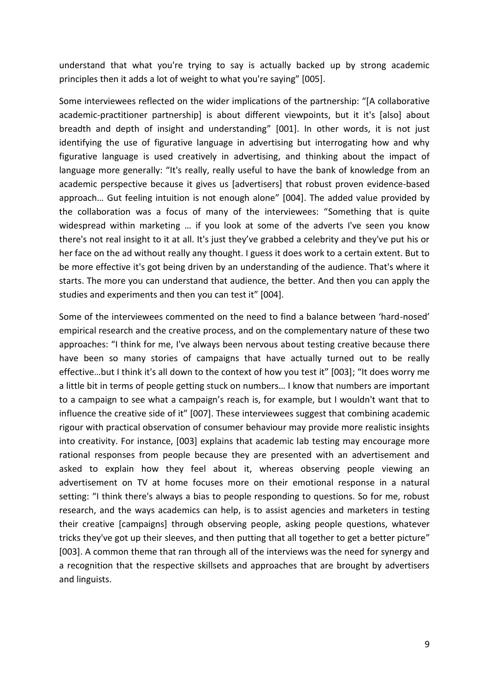understand that what you're trying to say is actually backed up by strong academic principles then it adds a lot of weight to what you're saying" [005].

Some interviewees reflected on the wider implications of the partnership: "[A collaborative academic-practitioner partnership] is about different viewpoints, but it it's [also] about breadth and depth of insight and understanding" [001]. In other words, it is not just identifying the use of figurative language in advertising but interrogating how and why figurative language is used creatively in advertising, and thinking about the impact of language more generally: "It's really, really useful to have the bank of knowledge from an academic perspective because it gives us [advertisers] that robust proven evidence-based approach… Gut feeling intuition is not enough alone" [004]. The added value provided by the collaboration was a focus of many of the interviewees: "Something that is quite widespread within marketing … if you look at some of the adverts I've seen you know there's not real insight to it at all. It's just they've grabbed a celebrity and they've put his or her face on the ad without really any thought. I guess it does work to a certain extent. But to be more effective it's got being driven by an understanding of the audience. That's where it starts. The more you can understand that audience, the better. And then you can apply the studies and experiments and then you can test it" [004].

Some of the interviewees commented on the need to find a balance between 'hard-nosed' empirical research and the creative process, and on the complementary nature of these two approaches: "I think for me, I've always been nervous about testing creative because there have been so many stories of campaigns that have actually turned out to be really effective…but I think it's all down to the context of how you test it" [003]; "It does worry me a little bit in terms of people getting stuck on numbers… I know that numbers are important to a campaign to see what a campaign's reach is, for example, but I wouldn't want that to influence the creative side of it" [007]. These interviewees suggest that combining academic rigour with practical observation of consumer behaviour may provide more realistic insights into creativity. For instance, [003] explains that academic lab testing may encourage more rational responses from people because they are presented with an advertisement and asked to explain how they feel about it, whereas observing people viewing an advertisement on TV at home focuses more on their emotional response in a natural setting: "I think there's always a bias to people responding to questions. So for me, robust research, and the ways academics can help, is to assist agencies and marketers in testing their creative [campaigns] through observing people, asking people questions, whatever tricks they've got up their sleeves, and then putting that all together to get a better picture" [003]. A common theme that ran through all of the interviews was the need for synergy and a recognition that the respective skillsets and approaches that are brought by advertisers and linguists.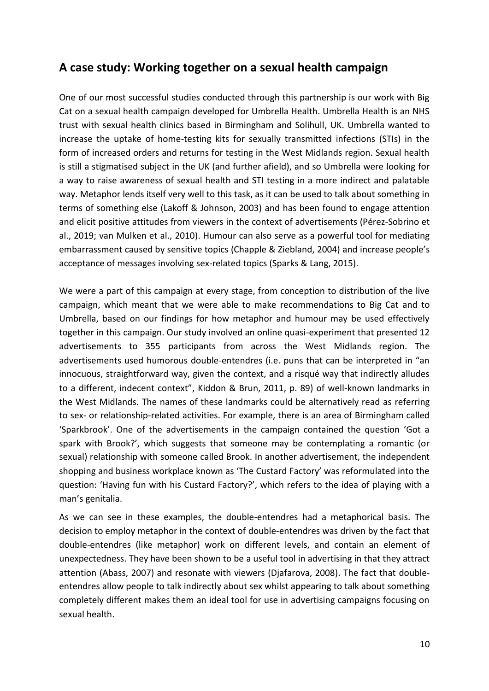# **A case study: Working together on a sexual health campaign**

One of our most successful studies conducted through this partnership is our work with Big Cat on a sexual health campaign developed for Umbrella Health. Umbrella Health is an NHS trust with sexual health clinics based in Birmingham and Solihull, UK. Umbrella wanted to increase the uptake of home-testing kits for sexually transmitted infections (STIs) in the form of increased orders and returns for testing in the West Midlands region. Sexual health is still a stigmatised subject in the UK (and further afield), and so Umbrella were looking for a way to raise awareness of sexual health and STI testing in a more indirect and palatable way. Metaphor lends itself very well to this task, as it can be used to talk about something in terms of something else (Lakoff & Johnson, 2003) and has been found to engage attention and elicit positive attitudes from viewers in the context of advertisements (Pérez-Sobrino et al., 2019; van Mulken et al., 2010). Humour can also serve as a powerful tool for mediating embarrassment caused by sensitive topics (Chapple & Ziebland, 2004) and increase people's acceptance of messages involving sex-related topics (Sparks & Lang, 2015).

We were a part of this campaign at every stage, from conception to distribution of the live campaign, which meant that we were able to make recommendations to Big Cat and to Umbrella, based on our findings for how metaphor and humour may be used effectively together in this campaign. Our study involved an online quasi-experiment that presented 12 advertisements to 355 participants from across the West Midlands region. The advertisements used humorous double-entendres (i.e. puns that can be interpreted in "an innocuous, straightforward way, given the context, and a risqué way that indirectly alludes to a different, indecent context", Kiddon & Brun, 2011, p. 89) of well-known landmarks in the West Midlands. The names of these landmarks could be alternatively read as referring to sex- or relationship-related activities. For example, there is an area of Birmingham called 'Sparkbrook'. One of the advertisements in the campaign contained the question 'Got a spark with Brook?', which suggests that someone may be contemplating a romantic (or sexual) relationship with someone called Brook. In another advertisement, the independent shopping and business workplace known as 'The Custard Factory' was reformulated into the question: 'Having fun with his Custard Factory?', which refers to the idea of playing with a man's genitalia.

As we can see in these examples, the double-entendres had a metaphorical basis. The decision to employ metaphor in the context of double-entendres was driven by the fact that double-entendres (like metaphor) work on different levels, and contain an element of unexpectedness. They have been shown to be a useful tool in advertising in that they attract attention (Abass, 2007) and resonate with viewers (Djafarova, 2008). The fact that doubleentendres allow people to talk indirectly about sex whilst appearing to talk about something completely different makes them an ideal tool for use in advertising campaigns focusing on sexual health.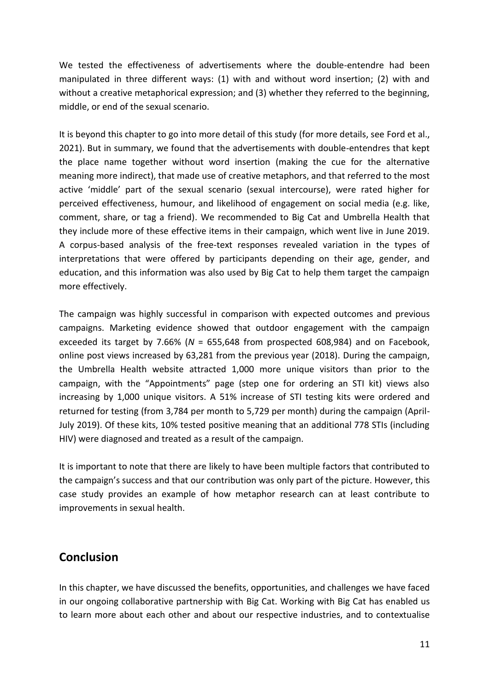We tested the effectiveness of advertisements where the double-entendre had been manipulated in three different ways: (1) with and without word insertion; (2) with and without a creative metaphorical expression; and (3) whether they referred to the beginning, middle, or end of the sexual scenario.

It is beyond this chapter to go into more detail of this study (for more details, see Ford et al., 2021). But in summary, we found that the advertisements with double-entendres that kept the place name together without word insertion (making the cue for the alternative meaning more indirect), that made use of creative metaphors, and that referred to the most active 'middle' part of the sexual scenario (sexual intercourse), were rated higher for perceived effectiveness, humour, and likelihood of engagement on social media (e.g. like, comment, share, or tag a friend). We recommended to Big Cat and Umbrella Health that they include more of these effective items in their campaign, which went live in June 2019. A corpus-based analysis of the free-text responses revealed variation in the types of interpretations that were offered by participants depending on their age, gender, and education, and this information was also used by Big Cat to help them target the campaign more effectively.

The campaign was highly successful in comparison with expected outcomes and previous campaigns. Marketing evidence showed that outdoor engagement with the campaign exceeded its target by 7.66% (*N* = 655,648 from prospected 608,984) and on Facebook, online post views increased by 63,281 from the previous year (2018). During the campaign, the Umbrella Health website attracted 1,000 more unique visitors than prior to the campaign, with the "Appointments" page (step one for ordering an STI kit) views also increasing by 1,000 unique visitors. A 51% increase of STI testing kits were ordered and returned for testing (from 3,784 per month to 5,729 per month) during the campaign (April-July 2019). Of these kits, 10% tested positive meaning that an additional 778 STIs (including HIV) were diagnosed and treated as a result of the campaign.

It is important to note that there are likely to have been multiple factors that contributed to the campaign's success and that our contribution was only part of the picture. However, this case study provides an example of how metaphor research can at least contribute to improvements in sexual health.

## **Conclusion**

In this chapter, we have discussed the benefits, opportunities, and challenges we have faced in our ongoing collaborative partnership with Big Cat. Working with Big Cat has enabled us to learn more about each other and about our respective industries, and to contextualise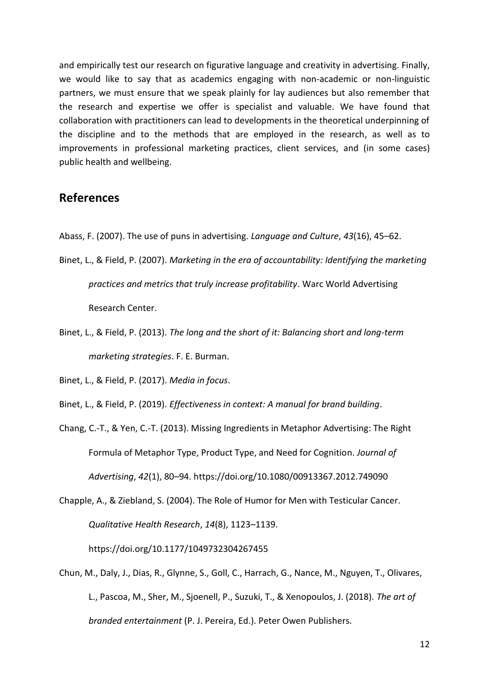and empirically test our research on figurative language and creativity in advertising. Finally, we would like to say that as academics engaging with non-academic or non-linguistic partners, we must ensure that we speak plainly for lay audiences but also remember that the research and expertise we offer is specialist and valuable. We have found that collaboration with practitioners can lead to developments in the theoretical underpinning of the discipline and to the methods that are employed in the research, as well as to improvements in professional marketing practices, client services, and (in some cases) public health and wellbeing.

#### **References**

- Abass, F. (2007). The use of puns in advertising. *Language and Culture*, *43*(16), 45–62.
- Binet, L., & Field, P. (2007). *Marketing in the era of accountability: Identifying the marketing practices and metrics that truly increase profitability*. Warc World Advertising Research Center.
- Binet, L., & Field, P. (2013). *The long and the short of it: Balancing short and long-term marketing strategies*. F. E. Burman.

Binet, L., & Field, P. (2017). *Media in focus*.

Chang, C.-T., & Yen, C.-T. (2013). Missing Ingredients in Metaphor Advertising: The Right Formula of Metaphor Type, Product Type, and Need for Cognition. *Journal of Advertising*, *42*(1), 80–94. https://doi.org/10.1080/00913367.2012.749090

Chapple, A., & Ziebland, S. (2004). The Role of Humor for Men with Testicular Cancer. *Qualitative Health Research*, *14*(8), 1123–1139. https://doi.org/10.1177/1049732304267455

Chun, M., Daly, J., Dias, R., Glynne, S., Goll, C., Harrach, G., Nance, M., Nguyen, T., Olivares, L., Pascoa, M., Sher, M., Sjoenell, P., Suzuki, T., & Xenopoulos, J. (2018). *The art of branded entertainment* (P. J. Pereira, Ed.). Peter Owen Publishers.

Binet, L., & Field, P. (2019). *Effectiveness in context: A manual for brand building*.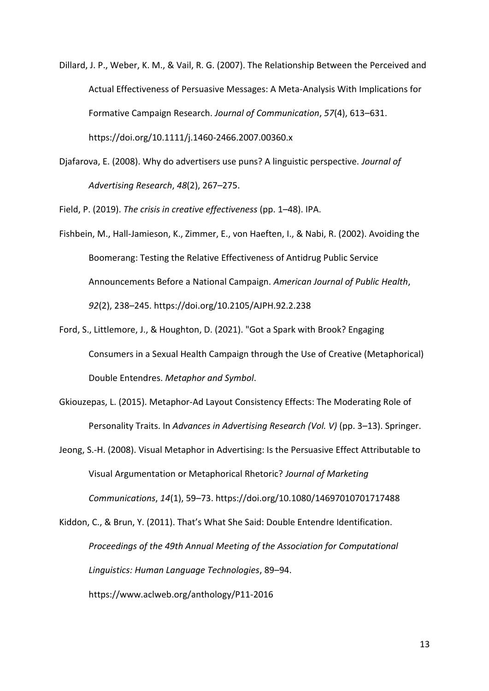- Dillard, J. P., Weber, K. M., & Vail, R. G. (2007). The Relationship Between the Perceived and Actual Effectiveness of Persuasive Messages: A Meta-Analysis With Implications for Formative Campaign Research. *Journal of Communication*, *57*(4), 613–631. https://doi.org/10.1111/j.1460-2466.2007.00360.x
- Djafarova, E. (2008). Why do advertisers use puns? A linguistic perspective. *Journal of Advertising Research*, *48*(2), 267–275.

Field, P. (2019). *The crisis in creative effectiveness* (pp. 1–48). IPA.

- Fishbein, M., Hall-Jamieson, K., Zimmer, E., von Haeften, I., & Nabi, R. (2002). Avoiding the Boomerang: Testing the Relative Effectiveness of Antidrug Public Service Announcements Before a National Campaign. *American Journal of Public Health*, *92*(2), 238–245. https://doi.org/10.2105/AJPH.92.2.238
- Ford, S., Littlemore, J., & Houghton, D. (2021). "Got a Spark with Brook? Engaging Consumers in a Sexual Health Campaign through the Use of Creative (Metaphorical) Double Entendres. *Metaphor and Symbol*.
- Gkiouzepas, L. (2015). Metaphor-Ad Layout Consistency Effects: The Moderating Role of Personality Traits. In *Advances in Advertising Research (Vol. V)* (pp. 3–13). Springer.
- Jeong, S.-H. (2008). Visual Metaphor in Advertising: Is the Persuasive Effect Attributable to Visual Argumentation or Metaphorical Rhetoric? *Journal of Marketing Communications*, *14*(1), 59–73. https://doi.org/10.1080/14697010701717488
- Kiddon, C., & Brun, Y. (2011). That's What She Said: Double Entendre Identification. *Proceedings of the 49th Annual Meeting of the Association for Computational Linguistics: Human Language Technologies*, 89–94. https://www.aclweb.org/anthology/P11-2016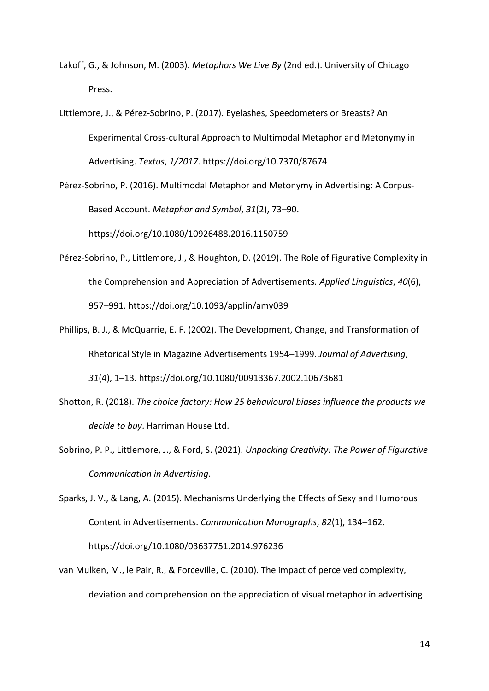- Lakoff, G., & Johnson, M. (2003). *Metaphors We Live By* (2nd ed.). University of Chicago Press.
- Littlemore, J., & Pérez-Sobrino, P. (2017). Eyelashes, Speedometers or Breasts? An Experimental Cross-cultural Approach to Multimodal Metaphor and Metonymy in Advertising. *Textus*, *1/2017*. https://doi.org/10.7370/87674

Pérez-Sobrino, P. (2016). Multimodal Metaphor and Metonymy in Advertising: A Corpus-Based Account. *Metaphor and Symbol*, *31*(2), 73–90. https://doi.org/10.1080/10926488.2016.1150759

- Pérez-Sobrino, P., Littlemore, J., & Houghton, D. (2019). The Role of Figurative Complexity in the Comprehension and Appreciation of Advertisements. *Applied Linguistics*, *40*(6), 957–991. https://doi.org/10.1093/applin/amy039
- Phillips, B. J., & McQuarrie, E. F. (2002). The Development, Change, and Transformation of Rhetorical Style in Magazine Advertisements 1954–1999. *Journal of Advertising*, *31*(4), 1–13. https://doi.org/10.1080/00913367.2002.10673681
- Shotton, R. (2018). *The choice factory: How 25 behavioural biases influence the products we decide to buy*. Harriman House Ltd.
- Sobrino, P. P., Littlemore, J., & Ford, S. (2021). *Unpacking Creativity: The Power of Figurative Communication in Advertising*.

Sparks, J. V., & Lang, A. (2015). Mechanisms Underlying the Effects of Sexy and Humorous Content in Advertisements. *Communication Monographs*, *82*(1), 134–162. https://doi.org/10.1080/03637751.2014.976236

van Mulken, M., le Pair, R., & Forceville, C. (2010). The impact of perceived complexity, deviation and comprehension on the appreciation of visual metaphor in advertising